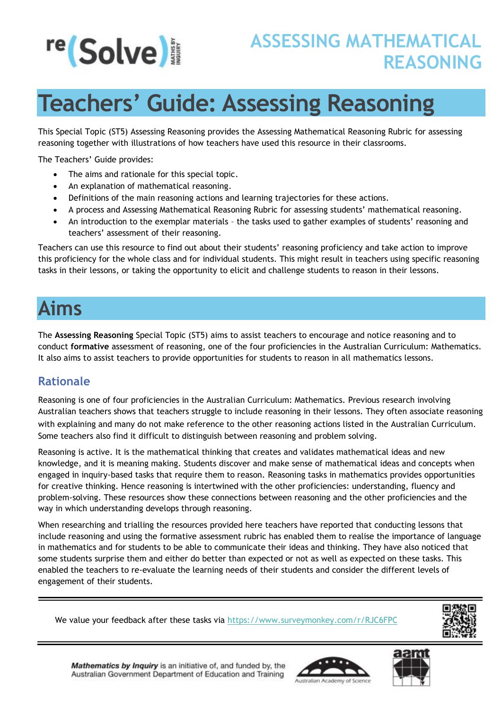

# **Teachers' Guide: Assessing Reasoning**

This Special Topic (ST5) Assessing Reasoning provides the Assessing Mathematical Reasoning Rubric for assessing reasoning together with illustrations of how teachers have used this resource in their classrooms.

The Teachers' Guide provides:

- The aims and rationale for this special topic.
- An explanation of mathematical reasoning.
- Definitions of the main reasoning actions and learning trajectories for these actions.
- A process and Assessing Mathematical Reasoning Rubric for assessing students' mathematical reasoning.
- An introduction to the exemplar materials the tasks used to gather examples of students' reasoning and teachers' assessment of their reasoning.

Teachers can use this resource to find out about their students' reasoning proficiency and take action to improve this proficiency for the whole class and for individual students. This might result in teachers using specific reasoning tasks in their lessons, or taking the opportunity to elicit and challenge students to reason in their lessons.

## **Aims**

The **Assessing Reasoning** Special Topic (ST5) aims to assist teachers to encourage and notice reasoning and to conduct **formative** assessment of reasoning, one of the four proficiencies in the Australian Curriculum: Mathematics. It also aims to assist teachers to provide opportunities for students to reason in all mathematics lessons.

#### **Rationale**

Reasoning is one of four proficiencies in the Australian Curriculum: Mathematics. Previous research involving Australian teachers shows that teachers struggle to include reasoning in their lessons. They often associate reasoning with explaining and many do not make reference to the other reasoning actions listed in the Australian Curriculum. Some teachers also find it difficult to distinguish between reasoning and problem solving.

Reasoning is active. It is the mathematical thinking that creates and validates mathematical ideas and new knowledge, and it is meaning making. Students discover and make sense of mathematical ideas and concepts when engaged in inquiry-based tasks that require them to reason. Reasoning tasks in mathematics provides opportunities for creative thinking. Hence reasoning is intertwined with the other proficiencies: understanding, fluency and problem-solving. These resources show these connections between reasoning and the other proficiencies and the way in which understanding develops through reasoning.

When researching and trialling the resources provided here teachers have reported that conducting lessons that include reasoning and using the formative assessment rubric has enabled them to realise the importance of language in mathematics and for students to be able to communicate their ideas and thinking. They have also noticed that some students surprise them and either do better than expected or not as well as expected on these tasks. This enabled the teachers to re-evaluate the learning needs of their students and consider the different levels of engagement of their students.

We value your feedback after these tasks via<https://www.surveymonkey.com/r/RJC6FPC>



Mathematics by Inquiry is an initiative of, and funded by, the Australian Government Department of Education and Training



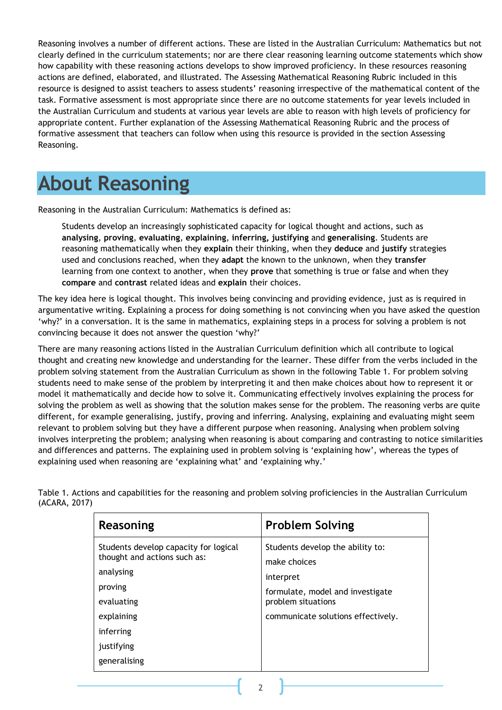Reasoning involves a number of different actions. These are listed in the Australian Curriculum: Mathematics but not clearly defined in the curriculum statements; nor are there clear reasoning learning outcome statements which show how capability with these reasoning actions develops to show improved proficiency. In these resources reasoning actions are defined, elaborated, and illustrated. The Assessing Mathematical Reasoning Rubric included in this resource is designed to assist teachers to assess students' reasoning irrespective of the mathematical content of the task. Formative assessment is most appropriate since there are no outcome statements for year levels included in the Australian Curriculum and students at various year levels are able to reason with high levels of proficiency for appropriate content. Further explanation of the Assessing Mathematical Reasoning Rubric and the process of formative assessment that teachers can follow when using this resource is provided in the section Assessing Reasoning.

## **About Reasoning**

Reasoning in the Australian Curriculum: Mathematics is defined as:

Students develop an increasingly sophisticated capacity for logical thought and actions, such as **analysing**, **proving**, **evaluating**, **explaining**, **inferring, justifying** and **generalising**. Students are reasoning mathematically when they **explain** their thinking, when they **deduce** and **justify** strategies used and conclusions reached, when they **adapt** the known to the unknown, when they **transfer** learning from one context to another, when they **prove** that something is true or false and when they **compare** and **contrast** related ideas and **explain** their choices.

The key idea here is logical thought. This involves being convincing and providing evidence, just as is required in argumentative writing. Explaining a process for doing something is not convincing when you have asked the question 'why?' in a conversation. It is the same in mathematics, explaining steps in a process for solving a problem is not convincing because it does not answer the question 'why?'

There are many reasoning actions listed in the Australian Curriculum definition which all contribute to logical thought and creating new knowledge and understanding for the learner. These differ from the verbs included in the problem solving statement from the Australian Curriculum as shown in the following Table 1. For problem solving students need to make sense of the problem by interpreting it and then make choices about how to represent it or model it mathematically and decide how to solve it. Communicating effectively involves explaining the process for solving the problem as well as showing that the solution makes sense for the problem. The reasoning verbs are quite different, for example generalising, justify, proving and inferring. Analysing, explaining and evaluating might seem relevant to problem solving but they have a different purpose when reasoning. Analysing when problem solving involves interpreting the problem; analysing when reasoning is about comparing and contrasting to notice similarities and differences and patterns. The explaining used in problem solving is 'explaining how', whereas the types of explaining used when reasoning are 'explaining what' and 'explaining why.'

| Reasoning                                                                                                                                                            | <b>Problem Solving</b>                                                                                                                                        |
|----------------------------------------------------------------------------------------------------------------------------------------------------------------------|---------------------------------------------------------------------------------------------------------------------------------------------------------------|
| Students develop capacity for logical<br>thought and actions such as:<br>analysing<br>proving<br>evaluating<br>explaining<br>inferring<br>justifying<br>generalising | Students develop the ability to:<br>make choices<br>interpret<br>formulate, model and investigate<br>problem situations<br>communicate solutions effectively. |

Table 1. Actions and capabilities for the reasoning and problem solving proficiencies in the Australian Curriculum (ACARA, 2017)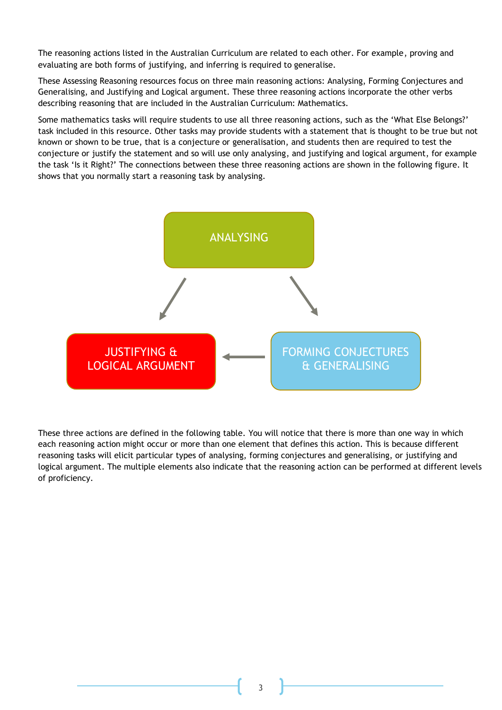The reasoning actions listed in the Australian Curriculum are related to each other. For example, proving and evaluating are both forms of justifying, and inferring is required to generalise.

These Assessing Reasoning resources focus on three main reasoning actions: Analysing, Forming Conjectures and Generalising, and Justifying and Logical argument. These three reasoning actions incorporate the other verbs describing reasoning that are included in the Australian Curriculum: Mathematics.

Some mathematics tasks will require students to use all three reasoning actions, such as the 'What Else Belongs?' task included in this resource. Other tasks may provide students with a statement that is thought to be true but not known or shown to be true, that is a conjecture or generalisation, and students then are required to test the conjecture or justify the statement and so will use only analysing, and justifying and logical argument, for example the task 'Is it Right?' The connections between these three reasoning actions are shown in the following figure. It shows that you normally start a reasoning task by analysing.



These three actions are defined in the following table. You will notice that there is more than one way in which each reasoning action might occur or more than one element that defines this action. This is because different reasoning tasks will elicit particular types of analysing, forming conjectures and generalising, or justifying and logical argument. The multiple elements also indicate that the reasoning action can be performed at different levels of proficiency.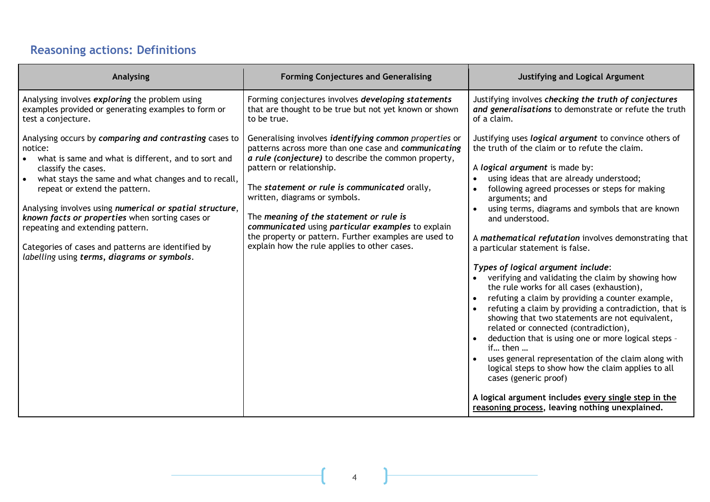## **Reasoning actions: Definitions**

| <b>Analysing</b>                                                                                                                                                                                                                                                                                                                                                                                                                                                                                | <b>Forming Conjectures and Generalising</b>                                                                                                                                                                                                                                                                                                                                                                                                                                                   | <b>Justifying and Logical Argument</b>                                                                                                                                                                                                                                                                                                                                                                                                                                                                                                                                                                                                                                                                                                                                                                                                                                                                                                                                                                                                                                                                            |
|-------------------------------------------------------------------------------------------------------------------------------------------------------------------------------------------------------------------------------------------------------------------------------------------------------------------------------------------------------------------------------------------------------------------------------------------------------------------------------------------------|-----------------------------------------------------------------------------------------------------------------------------------------------------------------------------------------------------------------------------------------------------------------------------------------------------------------------------------------------------------------------------------------------------------------------------------------------------------------------------------------------|-------------------------------------------------------------------------------------------------------------------------------------------------------------------------------------------------------------------------------------------------------------------------------------------------------------------------------------------------------------------------------------------------------------------------------------------------------------------------------------------------------------------------------------------------------------------------------------------------------------------------------------------------------------------------------------------------------------------------------------------------------------------------------------------------------------------------------------------------------------------------------------------------------------------------------------------------------------------------------------------------------------------------------------------------------------------------------------------------------------------|
| Analysing involves exploring the problem using<br>examples provided or generating examples to form or<br>test a conjecture.                                                                                                                                                                                                                                                                                                                                                                     | Forming conjectures involves developing statements<br>that are thought to be true but not yet known or shown<br>to be true.                                                                                                                                                                                                                                                                                                                                                                   | Justifying involves checking the truth of conjectures<br>and generalisations to demonstrate or refute the truth<br>of a claim.                                                                                                                                                                                                                                                                                                                                                                                                                                                                                                                                                                                                                                                                                                                                                                                                                                                                                                                                                                                    |
| Analysing occurs by comparing and contrasting cases to<br>notice:<br>what is same and what is different, and to sort and<br>classify the cases.<br>what stays the same and what changes and to recall,<br>repeat or extend the pattern.<br>Analysing involves using numerical or spatial structure,<br>known facts or properties when sorting cases or<br>repeating and extending pattern.<br>Categories of cases and patterns are identified by<br>labelling using terms, diagrams or symbols. | Generalising involves identifying common properties or<br>patterns across more than one case and communicating<br>a rule (conjecture) to describe the common property,<br>pattern or relationship.<br>The statement or rule is communicated orally,<br>written, diagrams or symbols.<br>The meaning of the statement or rule is<br>communicated using particular examples to explain<br>the property or pattern. Further examples are used to<br>explain how the rule applies to other cases. | Justifying uses logical argument to convince others of<br>the truth of the claim or to refute the claim.<br>A logical argument is made by:<br>using ideas that are already understood;<br>$\bullet$<br>following agreed processes or steps for making<br>arguments; and<br>using terms, diagrams and symbols that are known<br>and understood.<br>A mathematical refutation involves demonstrating that<br>a particular statement is false.<br>Types of logical argument include:<br>verifying and validating the claim by showing how<br>the rule works for all cases (exhaustion),<br>refuting a claim by providing a counter example,<br>refuting a claim by providing a contradiction, that is<br>showing that two statements are not equivalent,<br>related or connected (contradiction),<br>deduction that is using one or more logical steps -<br>if then<br>uses general representation of the claim along with<br>logical steps to show how the claim applies to all<br>cases (generic proof)<br>A logical argument includes every single step in the<br>reasoning process, leaving nothing unexplained. |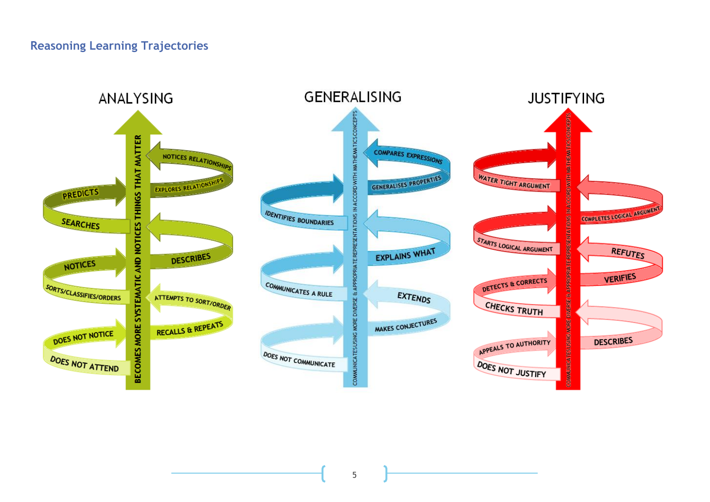#### **Reasoning Learning Trajectories**

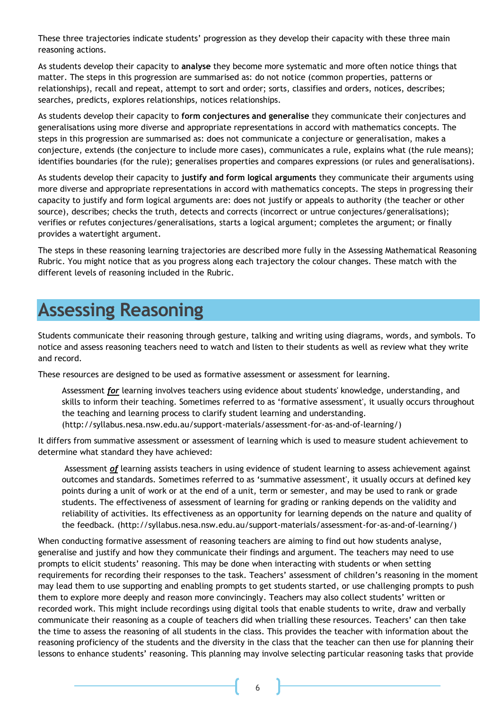These three trajectories indicate students' progression as they develop their capacity with these three main reasoning actions.

As students develop their capacity to **analyse** they become more systematic and more often notice things that matter. The steps in this progression are summarised as: do not notice (common properties, patterns or relationships), recall and repeat, attempt to sort and order; sorts, classifies and orders, notices, describes; searches, predicts, explores relationships, notices relationships.

As students develop their capacity to **form conjectures and generalise** they communicate their conjectures and generalisations using more diverse and appropriate representations in accord with mathematics concepts. The steps in this progression are summarised as: does not communicate a conjecture or generalisation, makes a conjecture, extends (the conjecture to include more cases), communicates a rule, explains what (the rule means); identifies boundaries (for the rule); generalises properties and compares expressions (or rules and generalisations).

As students develop their capacity to **justify and form logical arguments** they communicate their arguments using more diverse and appropriate representations in accord with mathematics concepts. The steps in progressing their capacity to justify and form logical arguments are: does not justify or appeals to authority (the teacher or other source), describes; checks the truth, detects and corrects (incorrect or untrue conjectures/generalisations); verifies or refutes conjectures/generalisations, starts a logical argument; completes the argument; or finally provides a watertight argument.

The steps in these reasoning learning trajectories are described more fully in the Assessing Mathematical Reasoning Rubric. You might notice that as you progress along each trajectory the colour changes. These match with the different levels of reasoning included in the Rubric.

## **Assessing Reasoning**

Students communicate their reasoning through gesture, talking and writing using diagrams, words, and symbols. To notice and assess reasoning teachers need to watch and listen to their students as well as review what they write and record.

These resources are designed to be used as formative assessment or assessment for learning.

Assessment *for* learning involves teachers using evidence about students' knowledge, understanding, and skills to inform their teaching. Sometimes referred to as 'formative assessment', it usually occurs throughout the teaching and learning process to clarify student learning and understanding. (http://syllabus.nesa.nsw.edu.au/support-materials/assessment-for-as-and-of-learning/)

It differs from summative assessment or assessment of learning which is used to measure student achievement to determine what standard they have achieved:

Assessment *of* learning assists teachers in using evidence of student learning to assess achievement against outcomes and standards. Sometimes referred to as 'summative assessment', it usually occurs at defined key points during a unit of work or at the end of a unit, term or semester, and may be used to rank or grade students. The effectiveness of assessment of learning for grading or ranking depends on the validity and reliability of activities. Its effectiveness as an opportunity for learning depends on the nature and quality of the feedback. (http://syllabus.nesa.nsw.edu.au/support-materials/assessment-for-as-and-of-learning/)

When conducting formative assessment of reasoning teachers are aiming to find out how students analyse, generalise and justify and how they communicate their findings and argument. The teachers may need to use prompts to elicit students' reasoning. This may be done when interacting with students or when setting requirements for recording their responses to the task. Teachers' assessment of children's reasoning in the moment may lead them to use supporting and enabling prompts to get students started, or use challenging prompts to push them to explore more deeply and reason more convincingly. Teachers may also collect students' written or recorded work. This might include recordings using digital tools that enable students to write, draw and verbally communicate their reasoning as a couple of teachers did when trialling these resources. Teachers' can then take the time to assess the reasoning of all students in the class. This provides the teacher with information about the reasoning proficiency of the students and the diversity in the class that the teacher can then use for planning their lessons to enhance students' reasoning. This planning may involve selecting particular reasoning tasks that provide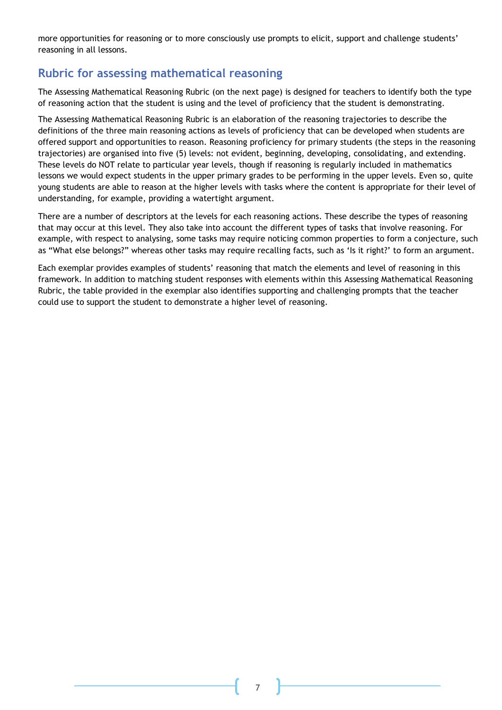more opportunities for reasoning or to more consciously use prompts to elicit, support and challenge students' reasoning in all lessons.

#### **Rubric for assessing mathematical reasoning**

The Assessing Mathematical Reasoning Rubric (on the next page) is designed for teachers to identify both the type of reasoning action that the student is using and the level of proficiency that the student is demonstrating.

The Assessing Mathematical Reasoning Rubric is an elaboration of the reasoning trajectories to describe the definitions of the three main reasoning actions as levels of proficiency that can be developed when students are offered support and opportunities to reason. Reasoning proficiency for primary students (the steps in the reasoning trajectories) are organised into five (5) levels: not evident, beginning, developing, consolidating, and extending. These levels do NOT relate to particular year levels, though if reasoning is regularly included in mathematics lessons we would expect students in the upper primary grades to be performing in the upper levels. Even so, quite young students are able to reason at the higher levels with tasks where the content is appropriate for their level of understanding, for example, providing a watertight argument.

There are a number of descriptors at the levels for each reasoning actions. These describe the types of reasoning that may occur at this level. They also take into account the different types of tasks that involve reasoning. For example, with respect to analysing, some tasks may require noticing common properties to form a conjecture, such as "What else belongs?" whereas other tasks may require recalling facts, such as 'Is it right?' to form an argument.

Each exemplar provides examples of students' reasoning that match the elements and level of reasoning in this framework. In addition to matching student responses with elements within this Assessing Mathematical Reasoning Rubric, the table provided in the exemplar also identifies supporting and challenging prompts that the teacher could use to support the student to demonstrate a higher level of reasoning.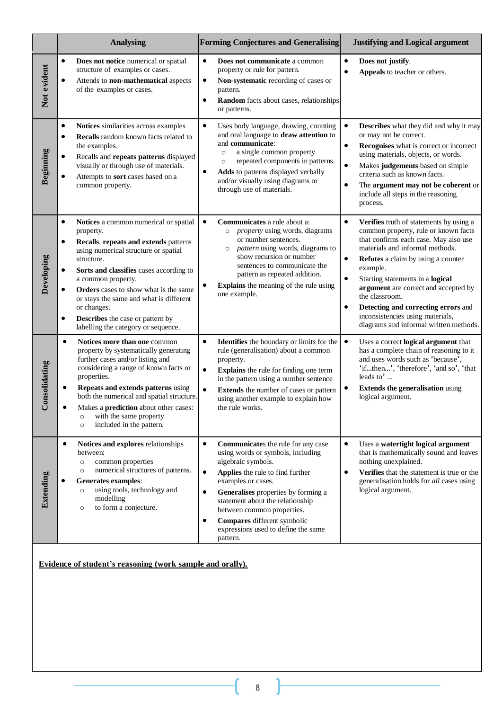|               | <b>Analysing</b>                                                                                                                                                                                                                                                                                                                                                                                                                                          | <b>Forming Conjectures and Generalising</b>                                                                                                                                                                                                                                                                                                                                                            | <b>Justifying and Logical argument</b>                                                                                                                                                                                                                                                                                                                                                                                                                                  |
|---------------|-----------------------------------------------------------------------------------------------------------------------------------------------------------------------------------------------------------------------------------------------------------------------------------------------------------------------------------------------------------------------------------------------------------------------------------------------------------|--------------------------------------------------------------------------------------------------------------------------------------------------------------------------------------------------------------------------------------------------------------------------------------------------------------------------------------------------------------------------------------------------------|-------------------------------------------------------------------------------------------------------------------------------------------------------------------------------------------------------------------------------------------------------------------------------------------------------------------------------------------------------------------------------------------------------------------------------------------------------------------------|
| Not evident   | $\bullet$<br>Does not notice numerical or spatial<br>structure of examples or cases.<br>Attends to non-mathematical aspects<br>$\bullet$<br>of the examples or cases.                                                                                                                                                                                                                                                                                     | $\bullet$<br>Does not communicate a common<br>property or rule for pattern.<br>Non-systematic recording of cases or<br>$\bullet$<br>pattern.<br>Random facts about cases, relationships<br>$\bullet$<br>or patterns.                                                                                                                                                                                   | $\bullet$<br>Does not justify.<br>Appeals to teacher or others.<br>$\bullet$                                                                                                                                                                                                                                                                                                                                                                                            |
| Beginning     | $\bullet$<br>Notices similarities across examples<br>Recalls random known facts related to<br>$\bullet$<br>the examples.<br>Recalls and repeats patterns displayed<br>$\bullet$<br>visually or through use of materials.<br>Attempts to sort cases based on a<br>٠<br>common property.                                                                                                                                                                    | $\bullet$<br>Uses body language, drawing, counting<br>and oral language to draw attention to<br>and communicate:<br>a single common property<br>$\circ$<br>repeated components in patterns.<br>$\circ$<br>Adds to patterns displayed verbally<br>٠<br>and/or visually using diagrams or<br>through use of materials.                                                                                   | $\bullet$<br><b>Describes</b> what they did and why it may<br>or may not be correct.<br>Recognises what is correct or incorrect<br>$\bullet$<br>using materials, objects, or words.<br>Makes judgements based on simple<br>$\bullet$<br>criteria such as known facts.<br>The argument may not be coherent or<br>٠<br>include all steps in the reasoning<br>process.                                                                                                     |
| Developing    | Notices a common numerical or spatial<br>$\bullet$<br>property.<br>Recalls, repeats and extends patterns<br>$\bullet$<br>using numerical structure or spatial<br>structure.<br>Sorts and classifies cases according to<br>$\bullet$<br>a common property.<br>Orders cases to show what is the same<br>٠<br>or stays the same and what is different<br>or changes.<br>Describes the case or pattern by<br>$\bullet$<br>labelling the category or sequence. | Communicates a rule about a:<br>$\bullet$<br><i>property</i> using words, diagrams<br>$\circ$<br>or number sentences.<br>pattern using words, diagrams to<br>$\circ$<br>show recursion or number<br>sentences to communicate the<br>pattern as repeated addition.<br><b>Explains</b> the meaning of the rule using<br>one example.                                                                     | $\bullet$<br>Verifies truth of statements by using a<br>common property, rule or known facts<br>that confirms each case. May also use<br>materials and informal methods.<br>$\bullet$<br>Refutes a claim by using a counter<br>example.<br>$\bullet$<br>Starting statements in a logical<br>argument are correct and accepted by<br>the classroom.<br>Detecting and correcting errors and<br>inconsistencies using materials,<br>diagrams and informal written methods. |
| Consolidating | $\bullet$<br>Notices more than one common<br>property by systematically generating<br>further cases and/or listing and<br>considering a range of known facts or<br>properties.<br>Repeats and extends patterns using<br>$\bullet$<br>both the numerical and spatial structure.<br>Makes a <b>prediction</b> about other cases:<br>with the same property<br>$\circ$<br>included in the pattern.<br>$\circ$                                                | $\bullet$<br>Identifies the boundary or limits for the<br>rule (generalisation) about a common<br>property.<br>$\bullet$<br>Explains the rule for finding one term<br>in the pattern using a number sentence<br>$\bullet$<br><b>Extends</b> the number of cases or pattern<br>using another example to explain how<br>the rule works.                                                                  | $\bullet$<br>Uses a correct logical argument that<br>has a complete chain of reasoning to it<br>and uses words such as 'because',<br>'ifthen', 'therefore', 'and so', 'that<br>leads to'<br><b>Extends the generalisation using</b><br>$\bullet$<br>logical argument.                                                                                                                                                                                                   |
| Extending     | $\bullet$<br>Notices and explores relationships<br>between:<br>common properties<br>$\circ$<br>numerical structures of patterns.<br>$\circ$<br><b>Generates examples:</b><br>٠<br>using tools, technology and<br>$\circ$<br>modelling<br>to form a conjecture.<br>$\circ$                                                                                                                                                                                 | $\bullet$<br>Communicates the rule for any case<br>using words or symbols, including<br>algebraic symbols.<br>Applies the rule to find further<br>$\bullet$<br>examples or cases.<br>Generalises properties by forming a<br>$\bullet$<br>statement about the relationship<br>between common properties.<br>Compares different symbolic<br>$\bullet$<br>expressions used to define the same<br>pattern. | $\bullet$<br>Uses a watertight logical argument<br>that is mathematically sound and leaves<br>nothing unexplained.<br>Verifies that the statement is true or the<br>٠<br>generalisation holds for all cases using<br>logical argument.                                                                                                                                                                                                                                  |

 **Evidence of student's reasoning (work sample and orally).**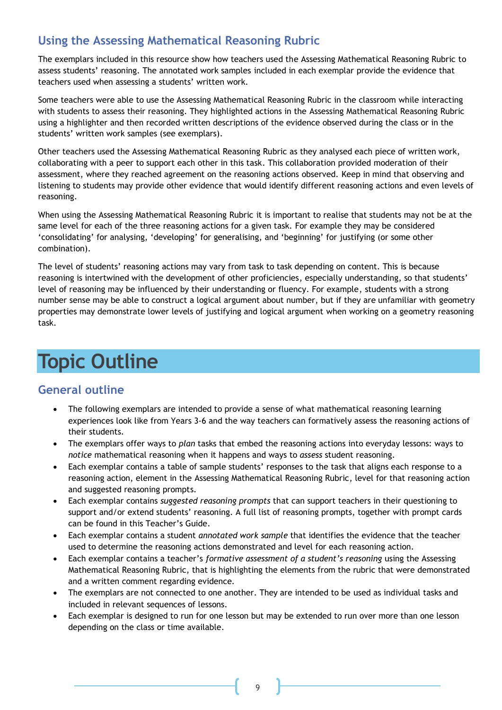#### **Using the Assessing Mathematical Reasoning Rubric**

The exemplars included in this resource show how teachers used the Assessing Mathematical Reasoning Rubric to assess students' reasoning. The annotated work samples included in each exemplar provide the evidence that teachers used when assessing a students' written work.

Some teachers were able to use the Assessing Mathematical Reasoning Rubric in the classroom while interacting with students to assess their reasoning. They highlighted actions in the Assessing Mathematical Reasoning Rubric using a highlighter and then recorded written descriptions of the evidence observed during the class or in the students' written work samples (see exemplars).

Other teachers used the Assessing Mathematical Reasoning Rubric as they analysed each piece of written work, collaborating with a peer to support each other in this task. This collaboration provided moderation of their assessment, where they reached agreement on the reasoning actions observed. Keep in mind that observing and listening to students may provide other evidence that would identify different reasoning actions and even levels of reasoning.

When using the Assessing Mathematical Reasoning Rubric it is important to realise that students may not be at the same level for each of the three reasoning actions for a given task. For example they may be considered 'consolidating' for analysing, 'developing' for generalising, and 'beginning' for justifying (or some other combination).

The level of students' reasoning actions may vary from task to task depending on content. This is because reasoning is intertwined with the development of other proficiencies, especially understanding, so that students' level of reasoning may be influenced by their understanding or fluency. For example, students with a strong number sense may be able to construct a logical argument about number, but if they are unfamiliar with geometry properties may demonstrate lower levels of justifying and logical argument when working on a geometry reasoning task.

## **Topic Outline**

#### **General outline**

- The following exemplars are intended to provide a sense of what mathematical reasoning learning experiences look like from Years 3-6 and the way teachers can formatively assess the reasoning actions of their students.
- The exemplars offer ways to *plan* tasks that embed the reasoning actions into everyday lessons: ways to *notice* mathematical reasoning when it happens and ways to *assess* student reasoning.
- Each exemplar contains a table of sample students' responses to the task that aligns each response to a reasoning action, element in the Assessing Mathematical Reasoning Rubric, level for that reasoning action and suggested reasoning prompts.
- Each exemplar contains *suggested reasoning prompts* that can support teachers in their questioning to support and/or extend students' reasoning. A full list of reasoning prompts, together with prompt cards can be found in this Teacher's Guide.
- Each exemplar contains a student *annotated work sample* that identifies the evidence that the teacher used to determine the reasoning actions demonstrated and level for each reasoning action.
- Each exemplar contains a teacher's *formative assessment of a student's reasoning* using the Assessing Mathematical Reasoning Rubric, that is highlighting the elements from the rubric that were demonstrated and a written comment regarding evidence.
- The exemplars are not connected to one another. They are intended to be used as individual tasks and included in relevant sequences of lessons.
- Each exemplar is designed to run for one lesson but may be extended to run over more than one lesson depending on the class or time available.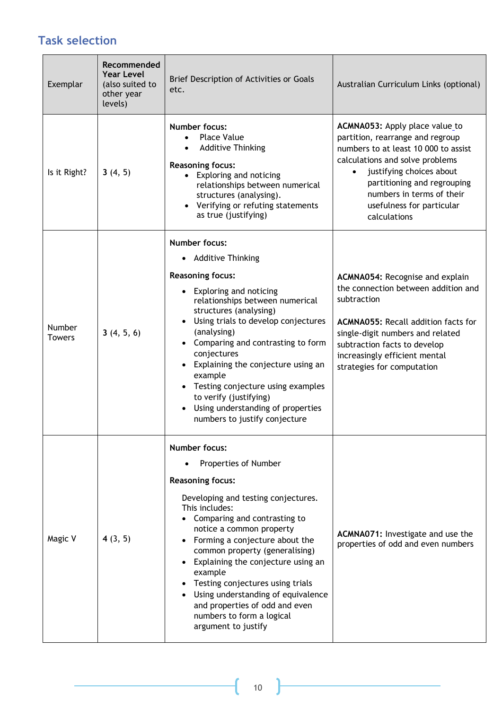### **Task selection**

| Exemplar                       | Recommended<br><b>Year Level</b><br>(also suited to<br>other year<br>levels) | Brief Description of Activities or Goals<br>etc.                                                                                                                                                                                                                                                                                                                                                                                                                                                         | Australian Curriculum Links (optional)                                                                                                                                                                                                                                                          |
|--------------------------------|------------------------------------------------------------------------------|----------------------------------------------------------------------------------------------------------------------------------------------------------------------------------------------------------------------------------------------------------------------------------------------------------------------------------------------------------------------------------------------------------------------------------------------------------------------------------------------------------|-------------------------------------------------------------------------------------------------------------------------------------------------------------------------------------------------------------------------------------------------------------------------------------------------|
| Is it Right?                   | 3(4, 5)                                                                      | <b>Number focus:</b><br><b>Place Value</b><br><b>Additive Thinking</b><br><b>Reasoning focus:</b><br>• Exploring and noticing<br>relationships between numerical<br>structures (analysing).<br>Verifying or refuting statements<br>$\bullet$<br>as true (justifying)                                                                                                                                                                                                                                     | ACMNA053: Apply place value to<br>partition, rearrange and regroup<br>numbers to at least 10 000 to assist<br>calculations and solve problems<br>justifying choices about<br>$\bullet$<br>partitioning and regrouping<br>numbers in terms of their<br>usefulness for particular<br>calculations |
| <b>Number</b><br><b>Towers</b> | 3(4, 5, 6)                                                                   | <b>Number focus:</b><br>• Additive Thinking<br><b>Reasoning focus:</b><br>• Exploring and noticing<br>relationships between numerical<br>structures (analysing)<br>Using trials to develop conjectures<br>$\bullet$<br>(analysing)<br>• Comparing and contrasting to form<br>conjectures<br>Explaining the conjecture using an<br>example<br>Testing conjecture using examples<br>$\bullet$<br>to verify (justifying)<br>Using understanding of properties<br>$\bullet$<br>numbers to justify conjecture | ACMNA054: Recognise and explain<br>the connection between addition and<br>subtraction<br><b>ACMNA055: Recall addition facts for</b><br>single-digit numbers and related<br>subtraction facts to develop<br>increasingly efficient mental<br>strategies for computation                          |
| Magic V                        | 4(3, 5)                                                                      | <b>Number focus:</b><br>Properties of Number<br><b>Reasoning focus:</b><br>Developing and testing conjectures.<br>This includes:<br>Comparing and contrasting to<br>notice a common property<br>Forming a conjecture about the<br>common property (generalising)<br>Explaining the conjecture using an<br>example<br>Testing conjectures using trials<br>Using understanding of equivalence<br>and properties of odd and even<br>numbers to form a logical<br>argument to justify                        | ACMNA071: Investigate and use the<br>properties of odd and even numbers                                                                                                                                                                                                                         |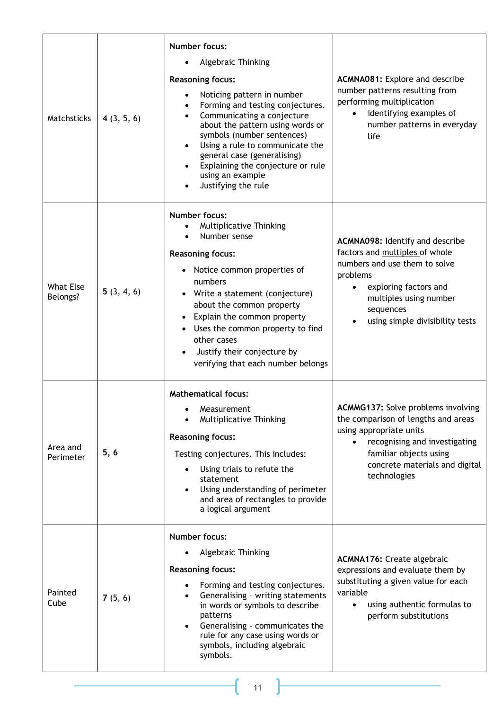| Matchsticks                  | 4(3, 5, 6) | <b>Number focus:</b><br>Algebraic Thinking<br><b>Reasoning focus:</b><br>Noticing pattern in number<br>Forming and testing conjectures.<br>$\bullet$<br>Communicating a conjecture<br>about the pattern using words or<br>symbols (number sentences)<br>Using a rule to communicate the<br>general case (generalising)<br>Explaining the conjecture or rule<br>using an example<br>Justifying the rule | <b>ACMNA081:</b> Explore and describe<br>number patterns resulting from<br>performing multiplication<br>identifying examples of<br>$\bullet$<br>number patterns in everyday<br>life                                            |
|------------------------------|------------|--------------------------------------------------------------------------------------------------------------------------------------------------------------------------------------------------------------------------------------------------------------------------------------------------------------------------------------------------------------------------------------------------------|--------------------------------------------------------------------------------------------------------------------------------------------------------------------------------------------------------------------------------|
| <b>What Else</b><br>Belongs? | 5(3, 4, 6) | <b>Number focus:</b><br>Multiplicative Thinking<br>$\bullet$<br>Number sense<br><b>Reasoning focus:</b><br>Notice common properties of<br>$\bullet$<br>numbers<br>Write a statement (conjecture)<br>about the common property<br>Explain the common property<br>Uses the common property to find<br>$\bullet$<br>other cases<br>Justify their conjecture by<br>verifying that each number belongs      | ACMNA098: Identify and describe<br>factors and multiples of whole<br>numbers and use them to solve<br>problems<br>exploring factors and<br>$\bullet$<br>multiples using number<br>sequences<br>using simple divisibility tests |
| Area and<br>Perimeter        | 5, 6       | <b>Mathematical focus:</b><br>Measurement<br>Multiplicative Thinking<br><b>Reasoning focus:</b><br>Testing conjectures. This includes:<br>Using trials to refute the<br>statement<br>Using understanding of perimeter<br>and area of rectangles to provide<br>a logical argument                                                                                                                       | <b>ACMMG137:</b> Solve problems involving<br>the comparison of lengths and areas<br>using appropriate units<br>recognising and investigating<br>familiar objects using<br>concrete materials and digital<br>technologies       |
| Painted<br>Cube              | 7(5, 6)    | <b>Number focus:</b><br>Algebraic Thinking<br><b>Reasoning focus:</b><br>Forming and testing conjectures.<br>Generalising - writing statements<br>in words or symbols to describe<br>patterns<br>Generalising - communicates the<br>rule for any case using words or<br>symbols, including algebraic<br>symbols.                                                                                       | <b>ACMNA176: Create algebraic</b><br>expressions and evaluate them by<br>substituting a given value for each<br>variable<br>using authentic formulas to<br>$\bullet$<br>perform substitutions                                  |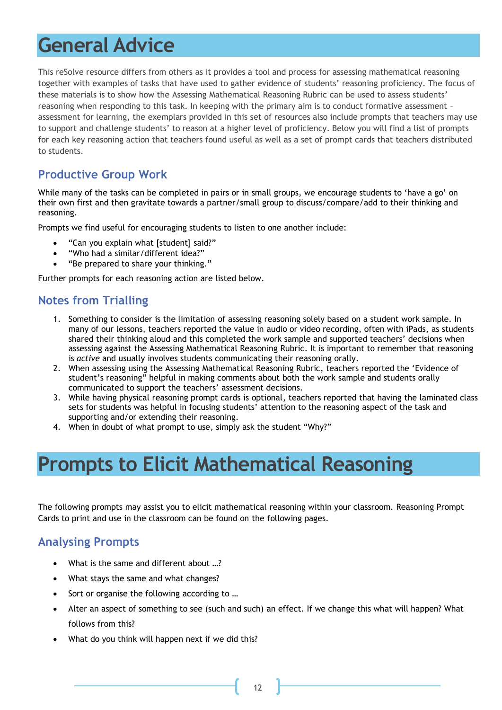# **General Advice**

This reSolve resource differs from others as it provides a tool and process for assessing mathematical reasoning together with examples of tasks that have used to gather evidence of students' reasoning proficiency. The focus of these materials is to show how the Assessing Mathematical Reasoning Rubric can be used to assess students' reasoning when responding to this task. In keeping with the primary aim is to conduct formative assessment – assessment for learning, the exemplars provided in this set of resources also include prompts that teachers may use to support and challenge students' to reason at a higher level of proficiency. Below you will find a list of prompts for each key reasoning action that teachers found useful as well as a set of prompt cards that teachers distributed to students.

#### **Productive Group Work**

While many of the tasks can be completed in pairs or in small groups, we encourage students to 'have a go' on their own first and then gravitate towards a partner/small group to discuss/compare/add to their thinking and reasoning.

Prompts we find useful for encouraging students to listen to one another include:

- "Can you explain what [student] said?"
- "Who had a similar/different idea?"
- "Be prepared to share your thinking."

Further prompts for each reasoning action are listed below.

#### **Notes from Trialling**

- 1. Something to consider is the limitation of assessing reasoning solely based on a student work sample. In many of our lessons, teachers reported the value in audio or video recording, often with iPads, as students shared their thinking aloud and this completed the work sample and supported teachers' decisions when assessing against the Assessing Mathematical Reasoning Rubric. It is important to remember that reasoning is *active* and usually involves students communicating their reasoning orally.
- 2. When assessing using the Assessing Mathematical Reasoning Rubric, teachers reported the 'Evidence of student's reasoning" helpful in making comments about both the work sample and students orally communicated to support the teachers' assessment decisions.
- 3. While having physical reasoning prompt cards is optional, teachers reported that having the laminated class sets for students was helpful in focusing students' attention to the reasoning aspect of the task and supporting and/or extending their reasoning.
- 4. When in doubt of what prompt to use, simply ask the student "Why?"

## **Prompts to Elicit Mathematical Reasoning**

The following prompts may assist you to elicit mathematical reasoning within your classroom. Reasoning Prompt Cards to print and use in the classroom can be found on the following pages.

#### **Analysing Prompts**

- What is the same and different about …?
- What stays the same and what changes?
- Sort or organise the following according to ...
- Alter an aspect of something to see (such and such) an effect. If we change this what will happen? What follows from this?
- What do you think will happen next if we did this?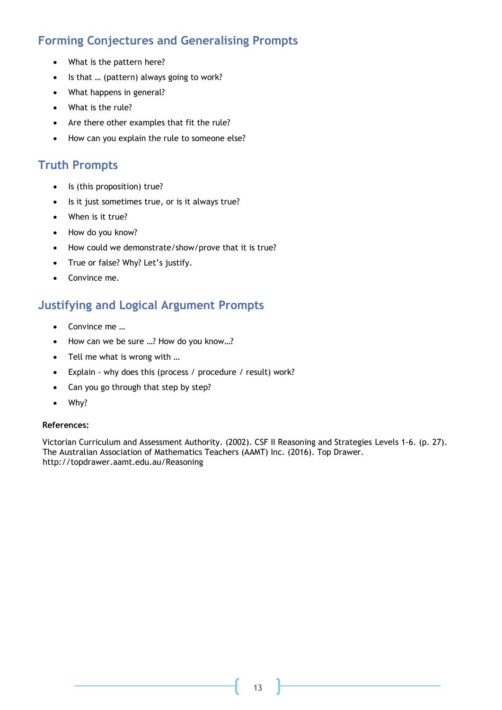#### **Forming Conjectures and Generalising Prompts**

- What is the pattern here?
- Is that ... (pattern) always going to work?
- What happens in general?
- What is the rule?
- Are there other examples that fit the rule?
- How can you explain the rule to someone else?

#### **Truth Prompts**

- Is (this proposition) true?
- Is it just sometimes true, or is it always true?
- When is it true?
- How do you know?
- How could we demonstrate/show/prove that it is true?
- True or false? Why? Let's justify.
- Convince me.

#### **Justifying and Logical Argument Prompts**

- Convince me …
- How can we be sure ...? How do you know...?
- Tell me what is wrong with …
- Explain why does this (process / procedure / result) work?
- Can you go through that step by step?
- Why?

#### **References:**

Victorian Curriculum and Assessment Authority. (2002). CSF II Reasoning and Strategies Levels 1-6. (p. 27). The Australian Association of Mathematics Teachers (AAMT) Inc. (2016). Top Drawer. <http://topdrawer.aamt.edu.au/Reasoning>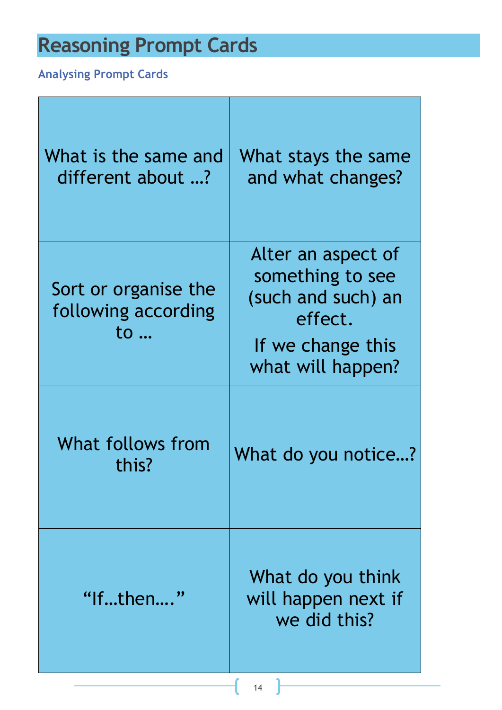# **Reasoning Prompt Cards**

## **Analysing Prompt Cards**

| What is the same and<br>different about ?         | What stays the same<br>and what changes?                                                                          |
|---------------------------------------------------|-------------------------------------------------------------------------------------------------------------------|
| Sort or organise the<br>following according<br>to | Alter an aspect of<br>something to see<br>(such and such) an<br>effect.<br>If we change this<br>what will happen? |
| What follows from<br>this?                        | What do you notice?                                                                                               |
| "Ifthen"                                          | What do you think<br>will happen next if<br>we did this?                                                          |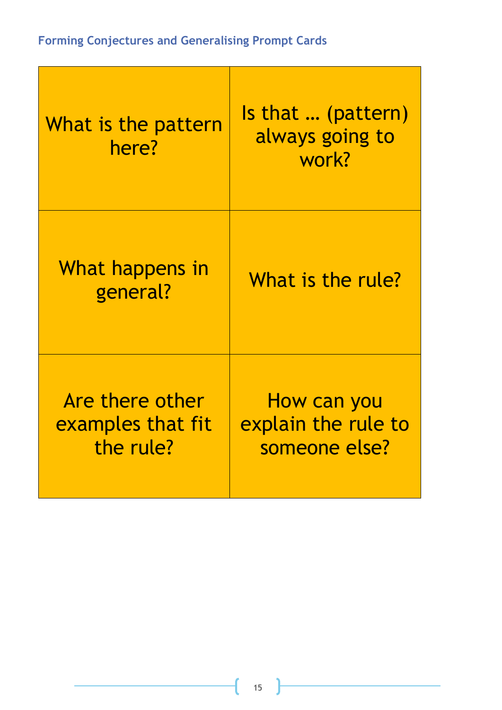## **Forming Conjectures and Generalising Prompt Cards**

| What is the pattern<br>here?                      | <b>Is that  (pattern)</b><br>always going to<br>work? |
|---------------------------------------------------|-------------------------------------------------------|
| What happens in<br>general?                       | What is the rule?                                     |
| Are there other<br>examples that fit<br>the rule? | How can you<br>explain the rule to<br>someone else?   |

ſ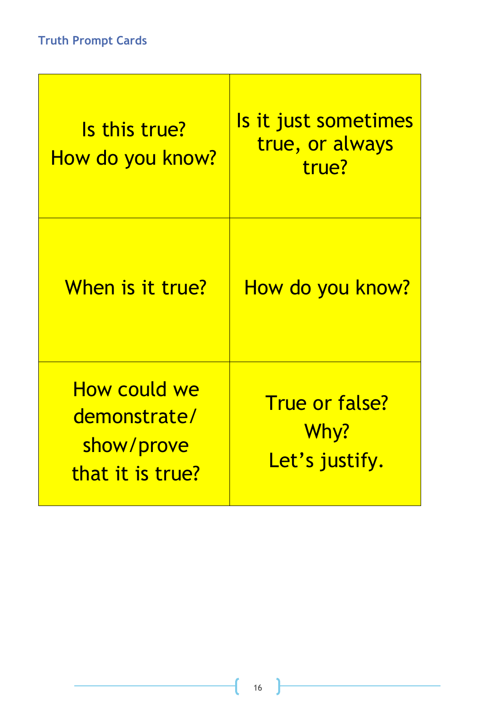| Is this true?<br><u>How do you know?</u>                       | <u>Is it just sometimes</u><br>true, or always<br>true? |
|----------------------------------------------------------------|---------------------------------------------------------|
| When is it true?                                               | <u>How do you know?</u>                                 |
| How could we<br>demonstrate/<br>show/prove<br>that it is true? | <b>True or false?</b><br>Why?<br>Let's justify.         |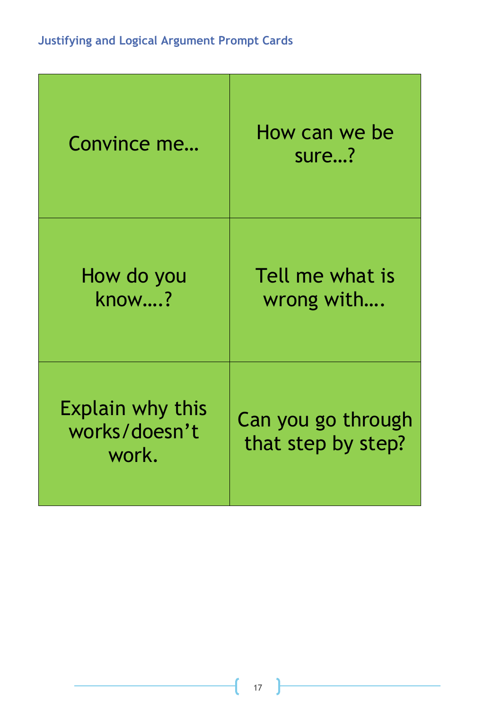| Convince me                                       | How can we be<br>sure?                   |
|---------------------------------------------------|------------------------------------------|
| How do you<br>know?                               | Tell me what is<br>wrong with            |
| <b>Explain why this</b><br>works/doesn't<br>work. | Can you go through<br>that step by step? |

ſ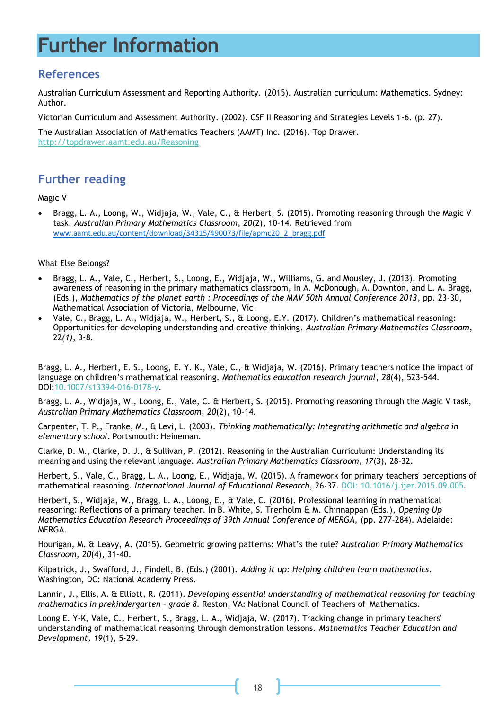# **Further Information**

#### **References**

Australian Curriculum Assessment and Reporting Authority. (2015). Australian curriculum: Mathematics. Sydney: Author.

Victorian Curriculum and Assessment Authority. (2002). CSF II Reasoning and Strategies Levels 1-6. (p. 27).

The Australian Association of Mathematics Teachers (AAMT) Inc. (2016). Top Drawer.

<http://topdrawer.aamt.edu.au/Reasoning>

#### **Further reading**

Magic V

• Bragg, L. A., Loong, W., Widjaja, W., Vale, C., & Herbert, S. (2015). Promoting reasoning through the Magic V task. *Australian Primary Mathematics Classroom*, *20*(2), 10-14. Retrieved from www.aamt.edu.au/content/download/34315/490073/file/apmc20\_2\_bragg.pdf

#### What Else Belongs?

- Bragg, L. A., Vale, C., Herbert, S., Loong, E., Widjaja, W., Williams, G. and Mousley, J. (2013). Promoting awareness of reasoning in the primary mathematics classroom, In A. McDonough, A. Downton, and L. A. Bragg, (Eds.), *Mathematics of the planet earth : Proceedings of the MAV 50th Annual Conference 2013*, pp. 23-30, Mathematical Association of Victoria, Melbourne, Vic.
- Vale, C., Bragg, L. A., Widjaja, W., Herbert, S., & Loong, E.Y. (2017). Children's mathematical reasoning: Opportunities for developing understanding and creative thinking. *Australian Primary Mathematics Classroom*, 22*(1)*, 3-8.

Bragg, L. A., Herbert, E. S., Loong, E. Y. K., Vale, C., & Widjaja, W. (2016). Primary teachers notice the impact of language on children's mathematical reasoning. *Mathematics education research journal*, *28*(4), 523-544. DOI[:10.1007/s13394-016-0178-y.](http://dx.doi.org/10.1007/s13394-016-0178-y)

Bragg, L. A., Widjaja, W., Loong, E., Vale, C. & Herbert, S. (2015). Promoting reasoning through the Magic V task, *Australian Primary Mathematics Classroom, 20*(2), 10-14.

Carpenter, T. P., Franke, M., & Levi, L. (2003). *Thinking mathematically: Integrating arithmetic and algebra in elementary school*. Portsmouth: Heineman.

Clarke, D. M., Clarke, D. J., & Sullivan, P. (2012). Reasoning in the Australian Curriculum: Understanding its meaning and using the relevant language. *Australian Primary Mathematics Classroom*, *17*(3), 28-32.

Herbert, S., Vale, C., Bragg, L. A., Loong, E., Widjaja, W. (2015). A framework for primary teachers' perceptions of mathematical reasoning. *International Journal of Educational Research*, 26-37. [DOI: 10.1016/j.ijer.2015.09.005.](http://www.sciencedirect.com/science/article/pii/S0883035515000786)

Herbert, S., Widjaja, W., Bragg, L. A., Loong, E., & Vale, C. (2016). Professional learning in mathematical reasoning: Reflections of a primary teacher. In B. White, S. Trenholm & M. Chinnappan (Eds.), *Opening Up Mathematics Education Research Proceedings of 39th Annual Conference of MERGA, (pp. 277-284). Adelaide:* MERGA.

Hourigan, M. & Leavy, A. (2015). Geometric growing patterns: What's the rule? *Australian Primary Mathematics Classroom, 20*(4), 31-40.

Kilpatrick, J., Swafford, J., Findell, B. (Eds.) (2001). *Adding it up: Helping children learn mathematics*. Washington, DC: National Academy Press.

Lannin, J., Ellis, A. & Elliott, R. (2011). *Developing essential understanding of mathematical reasoning for teaching mathematics in prekindergarten – grade 8*. Reston, VA: National Council of Teachers of Mathematics.

Loong E. Y-K, Vale, C., Herbert, S., Bragg, L. A., Widjaja, W. (2017). Tracking change in primary teachers' understanding of mathematical reasoning through demonstration lessons. *Mathematics Teacher Education and Development, 19*(1), 5-29.